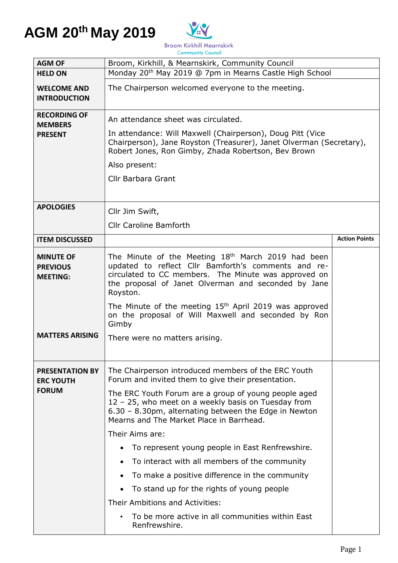

|                                                        | <b>Community Council</b>                                                                                                                                                                                                                         |                      |  |
|--------------------------------------------------------|--------------------------------------------------------------------------------------------------------------------------------------------------------------------------------------------------------------------------------------------------|----------------------|--|
| <b>AGM OF</b>                                          | Broom, Kirkhill, & Mearnskirk, Community Council                                                                                                                                                                                                 |                      |  |
| <b>HELD ON</b>                                         | Monday 20 <sup>th</sup> May 2019 @ 7pm in Mearns Castle High School                                                                                                                                                                              |                      |  |
| <b>WELCOME AND</b><br><b>INTRODUCTION</b>              | The Chairperson welcomed everyone to the meeting.                                                                                                                                                                                                |                      |  |
| <b>RECORDING OF</b><br><b>MEMBERS</b>                  | An attendance sheet was circulated.                                                                                                                                                                                                              |                      |  |
| <b>PRESENT</b>                                         | In attendance: Will Maxwell (Chairperson), Doug Pitt (Vice<br>Chairperson), Jane Royston (Treasurer), Janet Olverman (Secretary),<br>Robert Jones, Ron Gimby, Zhada Robertson, Bev Brown                                                         |                      |  |
|                                                        | Also present:                                                                                                                                                                                                                                    |                      |  |
|                                                        | <b>Cllr Barbara Grant</b>                                                                                                                                                                                                                        |                      |  |
| <b>APOLOGIES</b>                                       | Cllr Jim Swift,                                                                                                                                                                                                                                  |                      |  |
|                                                        | <b>Cllr Caroline Bamforth</b>                                                                                                                                                                                                                    |                      |  |
| <b>ITEM DISCUSSED</b>                                  |                                                                                                                                                                                                                                                  | <b>Action Points</b> |  |
| <b>MINUTE OF</b><br><b>PREVIOUS</b><br><b>MEETING:</b> | The Minute of the Meeting 18 <sup>th</sup> March 2019 had been<br>updated to reflect Cllr Bamforth's comments and re-<br>circulated to CC members. The Minute was approved on<br>the proposal of Janet Olverman and seconded by Jane<br>Royston. |                      |  |
|                                                        | The Minute of the meeting 15 <sup>th</sup> April 2019 was approved<br>on the proposal of Will Maxwell and seconded by Ron<br>Gimby                                                                                                               |                      |  |
| <b>MATTERS ARISING</b>                                 | There were no matters arising.                                                                                                                                                                                                                   |                      |  |
| <b>PRESENTATION BY</b><br><b>ERC YOUTH</b>             | The Chairperson introduced members of the ERC Youth<br>Forum and invited them to give their presentation.                                                                                                                                        |                      |  |
| <b>FORUM</b>                                           | The ERC Youth Forum are a group of young people aged<br>12 - 25, who meet on a weekly basis on Tuesday from<br>6.30 - 8.30pm, alternating between the Edge in Newton<br>Mearns and The Market Place in Barrhead.                                 |                      |  |
|                                                        | Their Aims are:                                                                                                                                                                                                                                  |                      |  |
|                                                        | To represent young people in East Renfrewshire.                                                                                                                                                                                                  |                      |  |
|                                                        | To interact with all members of the community                                                                                                                                                                                                    |                      |  |
|                                                        | To make a positive difference in the community                                                                                                                                                                                                   |                      |  |
|                                                        | To stand up for the rights of young people                                                                                                                                                                                                       |                      |  |
|                                                        | Their Ambitions and Activities:                                                                                                                                                                                                                  |                      |  |
|                                                        | To be more active in all communities within East<br>Renfrewshire.                                                                                                                                                                                |                      |  |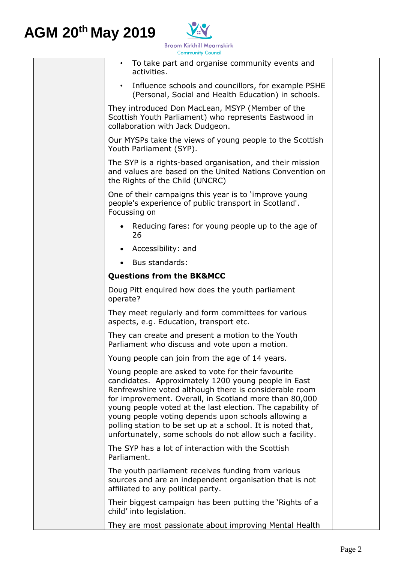

| <b>Community Council</b>                                                                                                                                                                                                                                                                                                                                                                                                                                                       |  |
|--------------------------------------------------------------------------------------------------------------------------------------------------------------------------------------------------------------------------------------------------------------------------------------------------------------------------------------------------------------------------------------------------------------------------------------------------------------------------------|--|
| To take part and organise community events and<br>activities.                                                                                                                                                                                                                                                                                                                                                                                                                  |  |
| Influence schools and councillors, for example PSHE<br>$\bullet$<br>(Personal, Social and Health Education) in schools.                                                                                                                                                                                                                                                                                                                                                        |  |
| They introduced Don MacLean, MSYP (Member of the<br>Scottish Youth Parliament) who represents Eastwood in<br>collaboration with Jack Dudgeon.                                                                                                                                                                                                                                                                                                                                  |  |
| Our MYSPs take the views of young people to the Scottish<br>Youth Parliament (SYP).                                                                                                                                                                                                                                                                                                                                                                                            |  |
| The SYP is a rights-based organisation, and their mission<br>and values are based on the United Nations Convention on<br>the Rights of the Child (UNCRC)                                                                                                                                                                                                                                                                                                                       |  |
| One of their campaigns this year is to 'improve young<br>people's experience of public transport in Scotland'.<br>Focussing on                                                                                                                                                                                                                                                                                                                                                 |  |
| • Reducing fares: for young people up to the age of<br>26                                                                                                                                                                                                                                                                                                                                                                                                                      |  |
| Accessibility: and                                                                                                                                                                                                                                                                                                                                                                                                                                                             |  |
| Bus standards:<br>$\bullet$                                                                                                                                                                                                                                                                                                                                                                                                                                                    |  |
| <b>Questions from the BK&amp;MCC</b>                                                                                                                                                                                                                                                                                                                                                                                                                                           |  |
| Doug Pitt enquired how does the youth parliament<br>operate?                                                                                                                                                                                                                                                                                                                                                                                                                   |  |
| They meet regularly and form committees for various<br>aspects, e.g. Education, transport etc.                                                                                                                                                                                                                                                                                                                                                                                 |  |
| They can create and present a motion to the Youth<br>Parliament who discuss and vote upon a motion.                                                                                                                                                                                                                                                                                                                                                                            |  |
| Young people can join from the age of 14 years.                                                                                                                                                                                                                                                                                                                                                                                                                                |  |
| Young people are asked to vote for their favourite<br>candidates. Approximately 1200 young people in East<br>Renfrewshire voted although there is considerable room<br>for improvement. Overall, in Scotland more than 80,000<br>young people voted at the last election. The capability of<br>young people voting depends upon schools allowing a<br>polling station to be set up at a school. It is noted that,<br>unfortunately, some schools do not allow such a facility. |  |
| The SYP has a lot of interaction with the Scottish<br>Parliament.                                                                                                                                                                                                                                                                                                                                                                                                              |  |
| The youth parliament receives funding from various<br>sources and are an independent organisation that is not<br>affiliated to any political party.                                                                                                                                                                                                                                                                                                                            |  |
| Their biggest campaign has been putting the 'Rights of a<br>child' into legislation.                                                                                                                                                                                                                                                                                                                                                                                           |  |
| They are most passionate about improving Mental Health                                                                                                                                                                                                                                                                                                                                                                                                                         |  |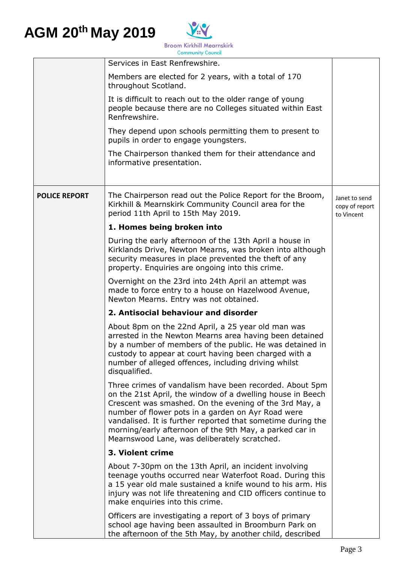

|                      | Services in East Renfrewshire.                                                                                                                                                                                                                                                                                                                                                                                  |                                               |
|----------------------|-----------------------------------------------------------------------------------------------------------------------------------------------------------------------------------------------------------------------------------------------------------------------------------------------------------------------------------------------------------------------------------------------------------------|-----------------------------------------------|
|                      | Members are elected for 2 years, with a total of 170<br>throughout Scotland.                                                                                                                                                                                                                                                                                                                                    |                                               |
|                      | It is difficult to reach out to the older range of young<br>people because there are no Colleges situated within East<br>Renfrewshire.                                                                                                                                                                                                                                                                          |                                               |
|                      | They depend upon schools permitting them to present to<br>pupils in order to engage youngsters.                                                                                                                                                                                                                                                                                                                 |                                               |
|                      | The Chairperson thanked them for their attendance and<br>informative presentation.                                                                                                                                                                                                                                                                                                                              |                                               |
|                      |                                                                                                                                                                                                                                                                                                                                                                                                                 |                                               |
| <b>POLICE REPORT</b> | The Chairperson read out the Police Report for the Broom,<br>Kirkhill & Mearnskirk Community Council area for the<br>period 11th April to 15th May 2019.                                                                                                                                                                                                                                                        | Janet to send<br>copy of report<br>to Vincent |
|                      | 1. Homes being broken into                                                                                                                                                                                                                                                                                                                                                                                      |                                               |
|                      | During the early afternoon of the 13th April a house in<br>Kirklands Drive, Newton Mearns, was broken into although<br>security measures in place prevented the theft of any<br>property. Enquiries are ongoing into this crime.                                                                                                                                                                                |                                               |
|                      | Overnight on the 23rd into 24th April an attempt was<br>made to force entry to a house on Hazelwood Avenue,<br>Newton Mearns. Entry was not obtained.                                                                                                                                                                                                                                                           |                                               |
|                      | 2. Antisocial behaviour and disorder                                                                                                                                                                                                                                                                                                                                                                            |                                               |
|                      | About 8pm on the 22nd April, a 25 year old man was<br>arrested in the Newton Mearns area having been detained<br>by a number of members of the public. He was detained in<br>custody to appear at court having been charged with a<br>number of alleged offences, including driving whilst<br>disqualified.                                                                                                     |                                               |
|                      | Three crimes of vandalism have been recorded. About 5pm<br>on the 21st April, the window of a dwelling house in Beech<br>Crescent was smashed. On the evening of the 3rd May, a<br>number of flower pots in a garden on Ayr Road were<br>vandalised. It is further reported that sometime during the<br>morning/early afternoon of the 9th May, a parked car in<br>Mearnswood Lane, was deliberately scratched. |                                               |
|                      | 3. Violent crime                                                                                                                                                                                                                                                                                                                                                                                                |                                               |
|                      | About 7-30pm on the 13th April, an incident involving<br>teenage youths occurred near Waterfoot Road. During this<br>a 15 year old male sustained a knife wound to his arm. His<br>injury was not life threatening and CID officers continue to<br>make enquiries into this crime.                                                                                                                              |                                               |
|                      | Officers are investigating a report of 3 boys of primary<br>school age having been assaulted in Broomburn Park on<br>the afternoon of the 5th May, by another child, described                                                                                                                                                                                                                                  |                                               |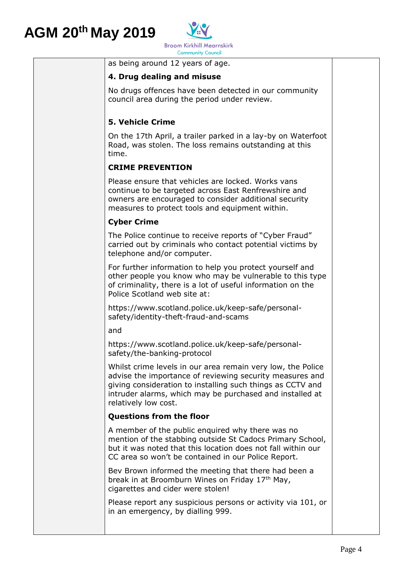

as being around 12 years of age.

#### **4. Drug dealing and misuse**

No drugs offences have been detected in our community council area during the period under review.

#### **5. Vehicle Crime**

On the 17th April, a trailer parked in a lay-by on Waterfoot Road, was stolen. The loss remains outstanding at this time.

#### **CRIME PREVENTION**

Please ensure that vehicles are locked. Works vans continue to be targeted across East Renfrewshire and owners are encouraged to consider additional security measures to protect tools and equipment within.

#### **Cyber Crime**

The Police continue to receive reports of "Cyber Fraud" carried out by criminals who contact potential victims by telephone and/or computer.

For further information to help you protect yourself and other people you know who may be vulnerable to this type of criminality, there is a lot of useful information on the Police Scotland web site at:

https://www.scotland.police.uk/keep-safe/personalsafety/identity-theft-fraud-and-scams

and

https://www.scotland.police.uk/keep-safe/personalsafety/the-banking-protocol

Whilst crime levels in our area remain very low, the Police advise the importance of reviewing security measures and giving consideration to installing such things as CCTV and intruder alarms, which may be purchased and installed at relatively low cost.

#### **Questions from the floor**

A member of the public enquired why there was no mention of the stabbing outside St Cadocs Primary School, but it was noted that this location does not fall within our CC area so won't be contained in our Police Report.

Bev Brown informed the meeting that there had been a break in at Broomburn Wines on Friday  $17<sup>th</sup>$  May, cigarettes and cider were stolen!

Please report any suspicious persons or activity via 101, or in an emergency, by dialling 999.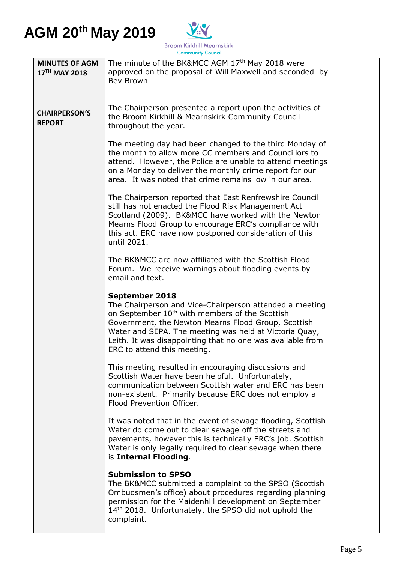

| <b>MINUTES OF AGM</b><br>17 <sup>TH</sup> MAY 2018 | The minute of the BK&MCC AGM 17 <sup>th</sup> May 2018 were<br>approved on the proposal of Will Maxwell and seconded by<br><b>Bev Brown</b>                                                                                                                                                                                                           |  |
|----------------------------------------------------|-------------------------------------------------------------------------------------------------------------------------------------------------------------------------------------------------------------------------------------------------------------------------------------------------------------------------------------------------------|--|
| <b>CHAIRPERSON'S</b><br><b>REPORT</b>              | The Chairperson presented a report upon the activities of<br>the Broom Kirkhill & Mearnskirk Community Council<br>throughout the year.                                                                                                                                                                                                                |  |
|                                                    | The meeting day had been changed to the third Monday of<br>the month to allow more CC members and Councillors to<br>attend. However, the Police are unable to attend meetings<br>on a Monday to deliver the monthly crime report for our<br>area. It was noted that crime remains low in our area.                                                    |  |
|                                                    | The Chairperson reported that East Renfrewshire Council<br>still has not enacted the Flood Risk Management Act<br>Scotland (2009). BK&MCC have worked with the Newton<br>Mearns Flood Group to encourage ERC's compliance with<br>this act. ERC have now postponed consideration of this<br>until 2021.                                               |  |
|                                                    | The BK&MCC are now affiliated with the Scottish Flood<br>Forum. We receive warnings about flooding events by<br>email and text.                                                                                                                                                                                                                       |  |
|                                                    | September 2018<br>The Chairperson and Vice-Chairperson attended a meeting<br>on September 10 <sup>th</sup> with members of the Scottish<br>Government, the Newton Mearns Flood Group, Scottish<br>Water and SEPA. The meeting was held at Victoria Quay,<br>Leith. It was disappointing that no one was available from<br>ERC to attend this meeting. |  |
|                                                    | This meeting resulted in encouraging discussions and<br>Scottish Water have been helpful. Unfortunately,<br>communication between Scottish water and ERC has been<br>non-existent. Primarily because ERC does not employ a<br>Flood Prevention Officer.                                                                                               |  |
|                                                    | It was noted that in the event of sewage flooding, Scottish<br>Water do come out to clear sewage off the streets and<br>pavements, however this is technically ERC's job. Scottish<br>Water is only legally required to clear sewage when there<br>is Internal Flooding.                                                                              |  |
|                                                    | <b>Submission to SPSO</b><br>The BK&MCC submitted a complaint to the SPSO (Scottish<br>Ombudsmen's office) about procedures regarding planning<br>permission for the Maidenhill development on September<br>14th 2018. Unfortunately, the SPSO did not uphold the<br>complaint.                                                                       |  |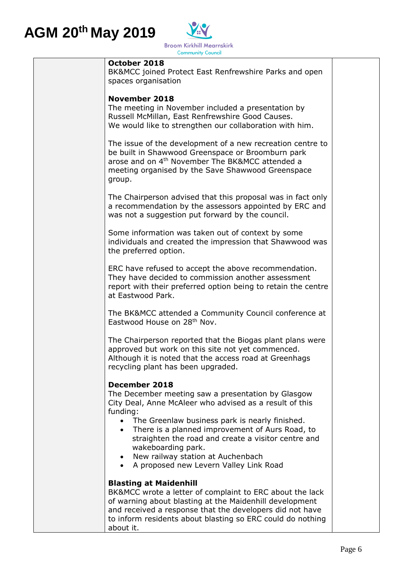

#### **October 2018**

BK&MCC joined Protect East Renfrewshire Parks and open spaces organisation

#### **November 2018**

The meeting in November included a presentation by Russell McMillan, East Renfrewshire Good Causes. We would like to strengthen our collaboration with him.

The issue of the development of a new recreation centre to be built in Shawwood Greenspace or Broomburn park arose and on 4<sup>th</sup> November The BK&MCC attended a meeting organised by the Save Shawwood Greenspace group.

The Chairperson advised that this proposal was in fact only a recommendation by the assessors appointed by ERC and was not a suggestion put forward by the council.

Some information was taken out of context by some individuals and created the impression that Shawwood was the preferred option.

ERC have refused to accept the above recommendation. They have decided to commission another assessment report with their preferred option being to retain the centre at Eastwood Park.

The BK&MCC attended a Community Council conference at Eastwood House on 28th Nov.

The Chairperson reported that the Biogas plant plans were approved but work on this site not yet commenced. Although it is noted that the access road at Greenhags recycling plant has been upgraded.

#### **December 2018**

The December meeting saw a presentation by Glasgow City Deal, Anne McAleer who advised as a result of this funding:

- The Greenlaw business park is nearly finished.
- There is a planned improvement of Aurs Road, to straighten the road and create a visitor centre and wakeboarding park.
- New railway station at Auchenbach
- A proposed new Levern Valley Link Road

#### **Blasting at Maidenhill**

BK&MCC wrote a letter of complaint to ERC about the lack of warning about blasting at the Maidenhill development and received a response that the developers did not have to inform residents about blasting so ERC could do nothing about it.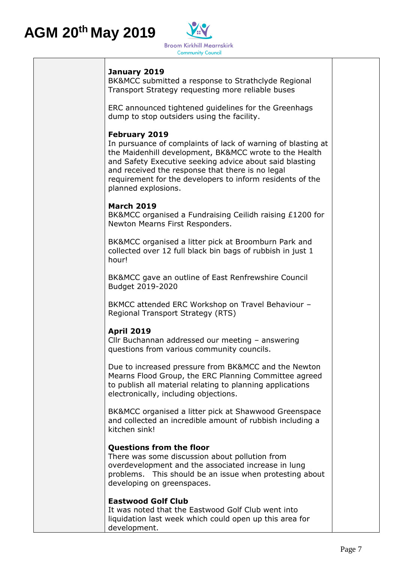

#### **January 2019**

BK&MCC submitted a response to Strathclyde Regional Transport Strategy requesting more reliable buses

ERC announced tightened guidelines for the Greenhags dump to stop outsiders using the facility.

#### **February 2019**

In pursuance of complaints of lack of warning of blasting at the Maidenhill development, BK&MCC wrote to the Health and Safety Executive seeking advice about said blasting and received the response that there is no legal requirement for the developers to inform residents of the planned explosions.

#### **March 2019**

BK&MCC organised a Fundraising Ceilidh raising £1200 for Newton Mearns First Responders.

BK&MCC organised a litter pick at Broomburn Park and collected over 12 full black bin bags of rubbish in just 1 hour!

BK&MCC gave an outline of East Renfrewshire Council Budget 2019-2020

BKMCC attended ERC Workshop on Travel Behaviour – Regional Transport Strategy (RTS)

#### **April 2019**

Cllr Buchannan addressed our meeting – answering questions from various community councils.

Due to increased pressure from BK&MCC and the Newton Mearns Flood Group, the ERC Planning Committee agreed to publish all material relating to planning applications electronically, including objections.

BK&MCC organised a litter pick at Shawwood Greenspace and collected an incredible amount of rubbish including a kitchen sink!

#### **Questions from the floor**

There was some discussion about pollution from overdevelopment and the associated increase in lung problems. This should be an issue when protesting about developing on greenspaces.

#### **Eastwood Golf Club**

It was noted that the Eastwood Golf Club went into liquidation last week which could open up this area for development.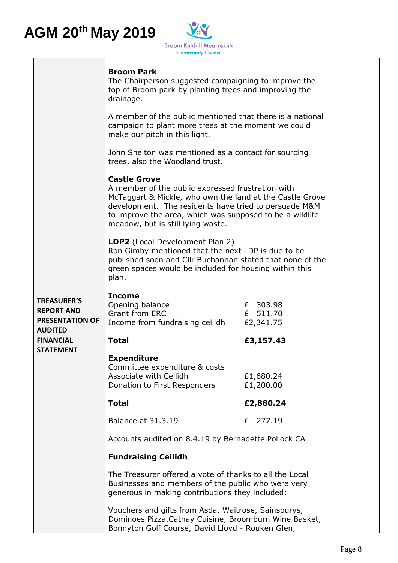

|                                                                   | <b>Broom Park</b><br>The Chairperson suggested campaigning to improve the<br>top of Broom park by planting trees and improving the<br>drainage.                                                                                                                                                |                                   |  |
|-------------------------------------------------------------------|------------------------------------------------------------------------------------------------------------------------------------------------------------------------------------------------------------------------------------------------------------------------------------------------|-----------------------------------|--|
|                                                                   | A member of the public mentioned that there is a national<br>campaign to plant more trees at the moment we could<br>make our pitch in this light.                                                                                                                                              |                                   |  |
|                                                                   | John Shelton was mentioned as a contact for sourcing<br>trees, also the Woodland trust.                                                                                                                                                                                                        |                                   |  |
|                                                                   | <b>Castle Grove</b><br>A member of the public expressed frustration with<br>McTaggart & Mickle, who own the land at the Castle Grove<br>development. The residents have tried to persuade M&M<br>to improve the area, which was supposed to be a wildlife<br>meadow, but is still lying waste. |                                   |  |
|                                                                   | LDP2 (Local Development Plan 2)<br>Ron Gimby mentioned that the next LDP is due to be<br>published soon and Cllr Buchannan stated that none of the<br>green spaces would be included for housing within this<br>plan.                                                                          |                                   |  |
| <b>TREASURER'S</b><br><b>REPORT AND</b><br><b>PRESENTATION OF</b> | <b>Income</b><br>Opening balance<br><b>Grant from ERC</b><br>Income from fundraising ceilidh                                                                                                                                                                                                   | £ 303.98<br>£ 511.70<br>£2,341.75 |  |
| <b>AUDITED</b><br><b>FINANCIAL</b>                                | <b>Total</b>                                                                                                                                                                                                                                                                                   | £3,157.43                         |  |
| <b>STATEMENT</b>                                                  | <b>Expenditure</b><br>Committee expenditure & costs<br>Associate with Ceilidh<br>Donation to First Responders                                                                                                                                                                                  | £1,680.24<br>£1,200.00            |  |
|                                                                   | <b>Total</b>                                                                                                                                                                                                                                                                                   | £2,880.24                         |  |
|                                                                   | <b>Balance at 31.3.19</b>                                                                                                                                                                                                                                                                      | 277.19<br>£                       |  |
|                                                                   | Accounts audited on 8.4.19 by Bernadette Pollock CA                                                                                                                                                                                                                                            |                                   |  |
|                                                                   | <b>Fundraising Ceilidh</b>                                                                                                                                                                                                                                                                     |                                   |  |
|                                                                   | The Treasurer offered a vote of thanks to all the Local<br>Businesses and members of the public who were very<br>generous in making contributions they included:                                                                                                                               |                                   |  |
|                                                                   | Vouchers and gifts from Asda, Waitrose, Sainsburys,<br>Dominoes Pizza, Cathay Cuisine, Broomburn Wine Basket,<br>Bonnyton Golf Course, David Lloyd - Rouken Glen,                                                                                                                              |                                   |  |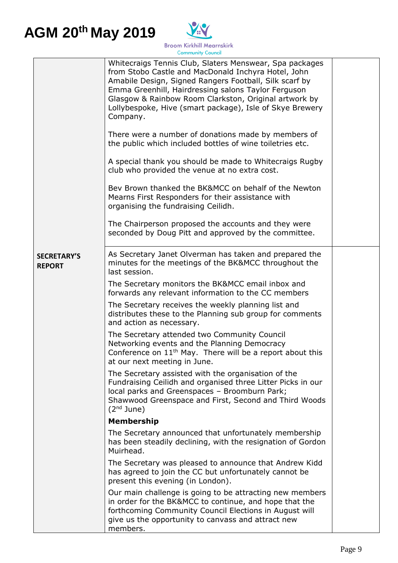

|                                     | Whitecraigs Tennis Club, Slaters Menswear, Spa packages<br>from Stobo Castle and MacDonald Inchyra Hotel, John<br>Amabile Design, Signed Rangers Football, Silk scarf by<br>Emma Greenhill, Hairdressing salons Taylor Ferguson<br>Glasgow & Rainbow Room Clarkston, Original artwork by<br>Lollybespoke, Hive (smart package), Isle of Skye Brewery<br>Company.<br>There were a number of donations made by members of<br>the public which included bottles of wine toiletries etc.<br>A special thank you should be made to Whitecraigs Rugby<br>club who provided the venue at no extra cost.<br>Bev Brown thanked the BK&MCC on behalf of the Newton<br>Mearns First Responders for their assistance with<br>organising the fundraising Ceilidh.<br>The Chairperson proposed the accounts and they were<br>seconded by Doug Pitt and approved by the committee. |  |
|-------------------------------------|---------------------------------------------------------------------------------------------------------------------------------------------------------------------------------------------------------------------------------------------------------------------------------------------------------------------------------------------------------------------------------------------------------------------------------------------------------------------------------------------------------------------------------------------------------------------------------------------------------------------------------------------------------------------------------------------------------------------------------------------------------------------------------------------------------------------------------------------------------------------|--|
| <b>SECRETARY'S</b><br><b>REPORT</b> | As Secretary Janet Olverman has taken and prepared the<br>minutes for the meetings of the BK&MCC throughout the<br>last session.<br>The Secretary monitors the BK&MCC email inbox and<br>forwards any relevant information to the CC members<br>The Secretary receives the weekly planning list and<br>distributes these to the Planning sub group for comments<br>and action as necessary.<br>The Secretary attended two Community Council<br>Networking events and the Planning Democracy<br>Conference on 11 <sup>th</sup> May. There will be a report about this<br>at our next meeting in June.<br>The Secretary assisted with the organisation of the<br>Fundraising Ceilidh and organised three Litter Picks in our<br>local parks and Greenspaces - Broomburn Park;<br>Shawwood Greenspace and First, Second and Third Woods<br>$(2nd$ June)                |  |
|                                     | <b>Membership</b>                                                                                                                                                                                                                                                                                                                                                                                                                                                                                                                                                                                                                                                                                                                                                                                                                                                   |  |
|                                     | The Secretary announced that unfortunately membership<br>has been steadily declining, with the resignation of Gordon<br>Muirhead.                                                                                                                                                                                                                                                                                                                                                                                                                                                                                                                                                                                                                                                                                                                                   |  |
|                                     | The Secretary was pleased to announce that Andrew Kidd<br>has agreed to join the CC but unfortunately cannot be<br>present this evening (in London).                                                                                                                                                                                                                                                                                                                                                                                                                                                                                                                                                                                                                                                                                                                |  |
|                                     | Our main challenge is going to be attracting new members<br>in order for the BK&MCC to continue, and hope that the<br>forthcoming Community Council Elections in August will<br>give us the opportunity to canvass and attract new<br>members.                                                                                                                                                                                                                                                                                                                                                                                                                                                                                                                                                                                                                      |  |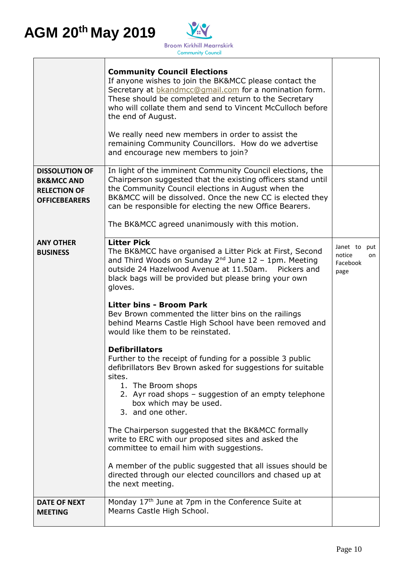

|                                                                                               | <b>Community Council Elections</b><br>If anyone wishes to join the BK&MCC please contact the<br>Secretary at <b>b</b> kandmcc@qmail.com for a nomination form.<br>These should be completed and return to the Secretary<br>who will collate them and send to Vincent McCulloch before<br>the end of August.<br>We really need new members in order to assist the<br>remaining Community Councillors. How do we advertise<br>and encourage new members to join? |                                        |           |
|-----------------------------------------------------------------------------------------------|----------------------------------------------------------------------------------------------------------------------------------------------------------------------------------------------------------------------------------------------------------------------------------------------------------------------------------------------------------------------------------------------------------------------------------------------------------------|----------------------------------------|-----------|
| <b>DISSOLUTION OF</b><br><b>BK&amp;MCC AND</b><br><b>RELECTION OF</b><br><b>OFFICEBEARERS</b> | In light of the imminent Community Council elections, the<br>Chairperson suggested that the existing officers stand until<br>the Community Council elections in August when the<br>BK&MCC will be dissolved. Once the new CC is elected they<br>can be responsible for electing the new Office Bearers.                                                                                                                                                        |                                        |           |
|                                                                                               | The BK&MCC agreed unanimously with this motion.                                                                                                                                                                                                                                                                                                                                                                                                                |                                        |           |
| <b>ANY OTHER</b><br><b>BUSINESS</b>                                                           | <b>Litter Pick</b><br>The BK&MCC have organised a Litter Pick at First, Second<br>and Third Woods on Sunday $2^{nd}$ June 12 - 1pm. Meeting<br>outside 24 Hazelwood Avenue at 11.50am. Pickers and<br>black bags will be provided but please bring your own<br>gloves.                                                                                                                                                                                         | Janet to<br>notice<br>Facebook<br>page | put<br>on |
|                                                                                               | <b>Litter bins - Broom Park</b><br>Bev Brown commented the litter bins on the railings<br>behind Mearns Castle High School have been removed and<br>would like them to be reinstated.                                                                                                                                                                                                                                                                          |                                        |           |
|                                                                                               | <b>Defibrillators</b><br>Further to the receipt of funding for a possible 3 public<br>defibrillators Bev Brown asked for suggestions for suitable<br>sites.<br>1. The Broom shops<br>2. Ayr road shops - suggestion of an empty telephone<br>box which may be used.<br>3. and one other.                                                                                                                                                                       |                                        |           |
|                                                                                               | The Chairperson suggested that the BK&MCC formally<br>write to ERC with our proposed sites and asked the<br>committee to email him with suggestions.                                                                                                                                                                                                                                                                                                           |                                        |           |
|                                                                                               | A member of the public suggested that all issues should be<br>directed through our elected councillors and chased up at<br>the next meeting.                                                                                                                                                                                                                                                                                                                   |                                        |           |
| <b>DATE OF NEXT</b><br><b>MEETING</b>                                                         | Monday 17th June at 7pm in the Conference Suite at<br>Mearns Castle High School.                                                                                                                                                                                                                                                                                                                                                                               |                                        |           |